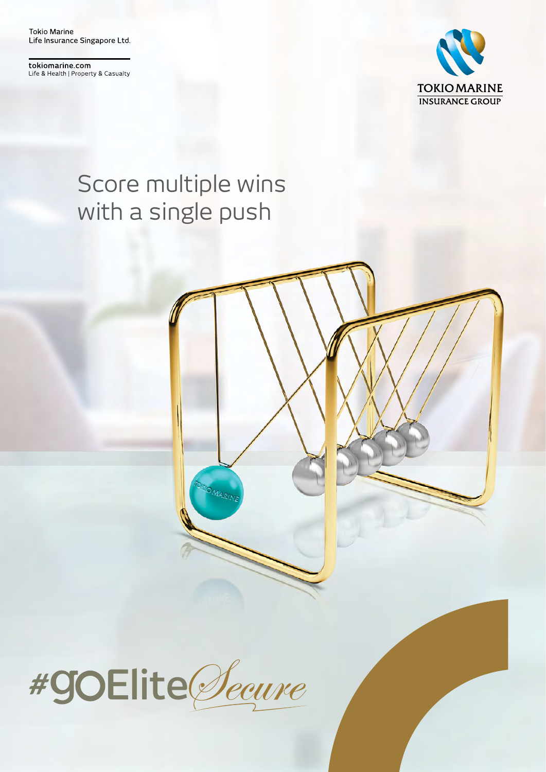**Tokio Marine** Life Insurance Singapore Ltd.

tokiomarine.com Life & Health | Property & Casualty



### Score multiple wins with a single push

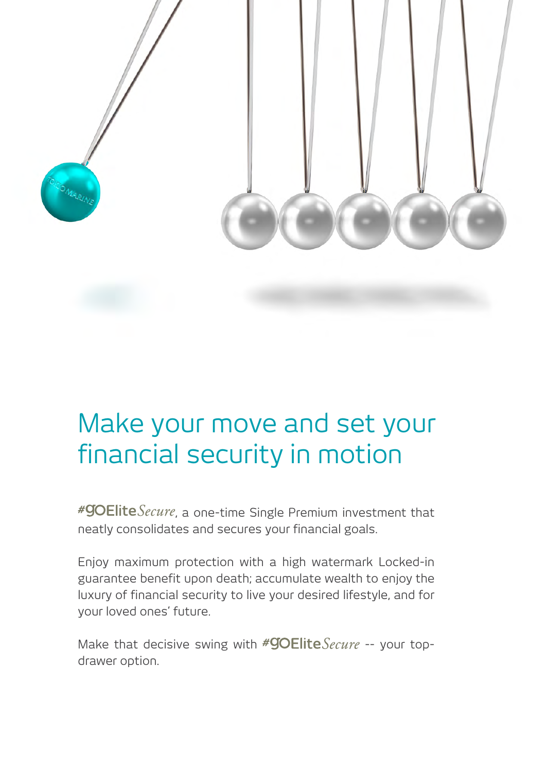

## Make your move and set your financial security in motion

 $*$ **90Elite** Secure, a one-time Single Premium investment that neatly consolidates and secures your financial goals.

Enjoy maximum protection with a high watermark Locked-in guarantee benefit upon death; accumulate wealth to enjoy the luxury of financial security to live your desired lifestyle, and for your loved ones' future.

Make that decisive swing with  $\#GOEliteSecure -<sub>1</sub>$  your topdrawer option.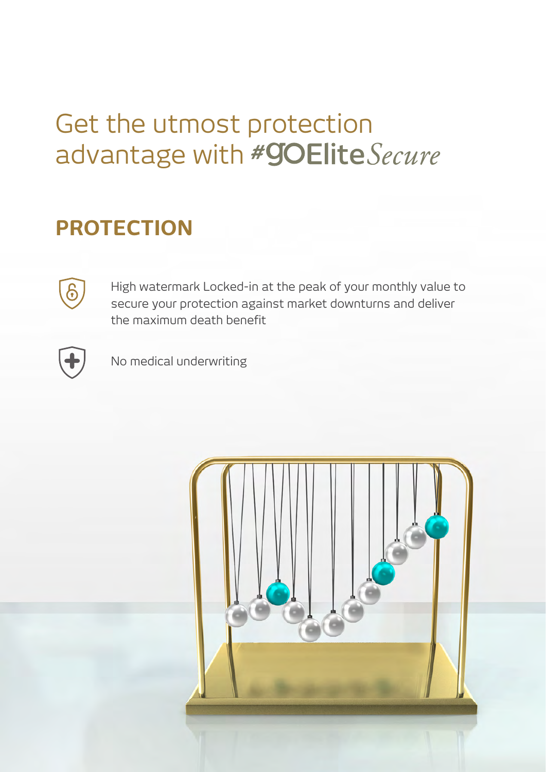## Get the utmost protection advantage with #goElite Secure

#### **PROTECTION**



High watermark Locked-in at the peak of your monthly value to secure your protection against market downturns and deliver the maximum death benefit



No medical underwriting

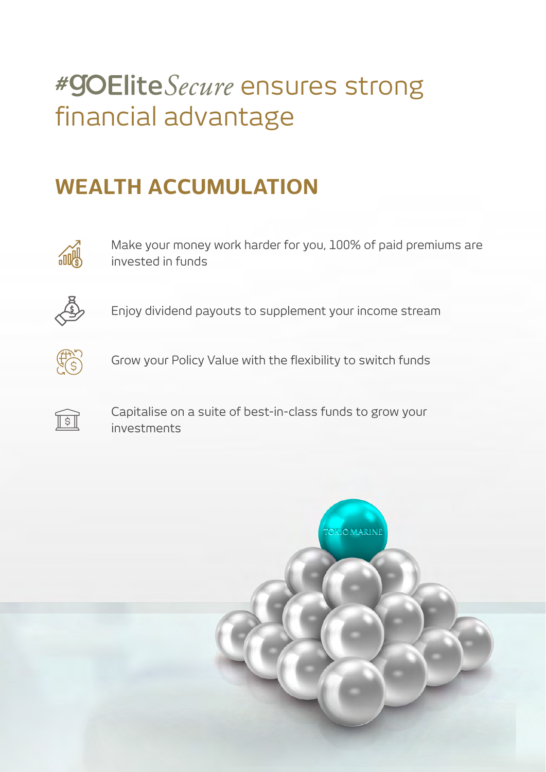# #**GOElite** Secure ensures strong financial advantage

#### **WEALTH ACCUMULATION**



Make your money work harder for you, 100% of paid premiums are invested in funds



Enjoy dividend payouts to supplement your income stream



Grow your Policy Value with the flexibility to switch funds



Capitalise on a suite of best-in-class funds to grow your investments

**TONOMARINE**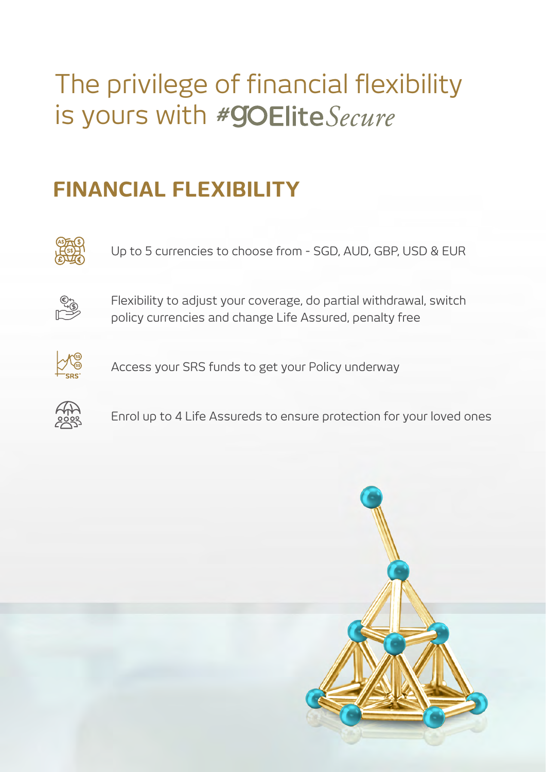# The privilege of financial flexibility is yours with #goElite Secure

#### **FINANCIAL FLEXIBILITY**



Up to 5 currencies to choose from - SGD, AUD, GBP, USD & EUR



Flexibility to adjust your coverage, do partial withdrawal, switch policy currencies and change Life Assured, penalty free



Access your SRS funds to get your Policy underway



Enrol up to 4 Life Assureds to ensure protection for your loved ones

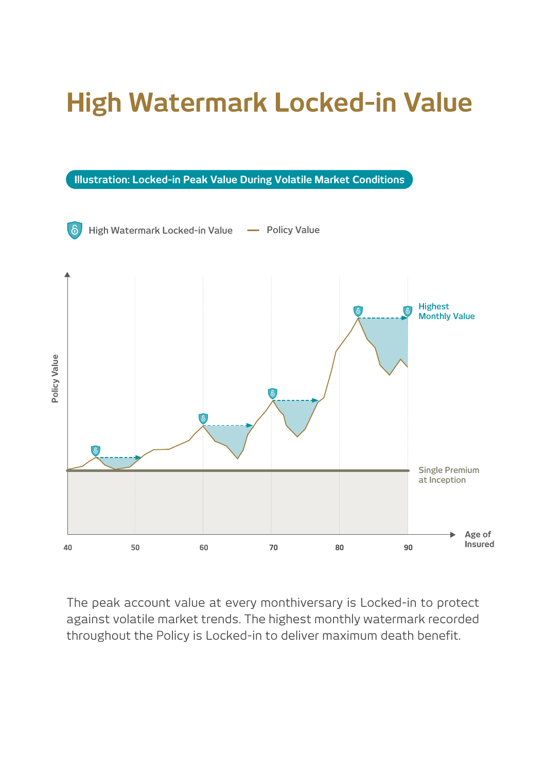# **High Watermark Locked-in Value**

**Illustration: Locked-in Peak Value During Volatile Market Conditions**



The peak account value at every monthiversary is Locked-in to protect against volatile market trends. The highest monthly watermark recorded throughout the Policy is Locked-in to deliver maximum death benefit.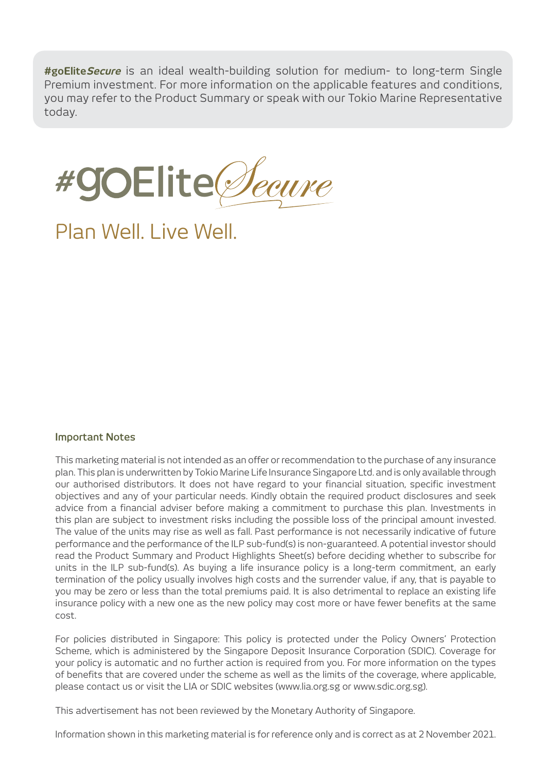**#goEliteSecure** is an ideal wealth-building solution for medium- to long-term Single Premium investment. For more information on the applicable features and conditions, you may refer to the Product Summary or speak with our Tokio Marine Representative today.



Plan Well. Live Well.

#### **Important Notes**

This marketing material is not intended as an offer or recommendation to the purchase of any insurance plan. This plan is underwritten by Tokio Marine Life Insurance Singapore Ltd. and is only available through our authorised distributors. It does not have regard to your financial situation, specific investment objectives and any of your particular needs. Kindly obtain the required product disclosures and seek advice from a financial adviser before making a commitment to purchase this plan. Investments in this plan are subject to investment risks including the possible loss of the principal amount invested. The value of the units may rise as well as fall. Past performance is not necessarily indicative of future performance and the performance of the ILP sub-fund(s) is non-guaranteed. A potential investor should read the Product Summary and Product Highlights Sheet(s) before deciding whether to subscribe for units in the ILP sub-fund(s). As buying a life insurance policy is a long-term commitment, an early termination of the policy usually involves high costs and the surrender value, if any, that is payable to you may be zero or less than the total premiums paid. It is also detrimental to replace an existing life insurance policy with a new one as the new policy may cost more or have fewer benefits at the same cost.

For policies distributed in Singapore: This policy is protected under the Policy Owners' Protection Scheme, which is administered by the Singapore Deposit Insurance Corporation (SDIC). Coverage for your policy is automatic and no further action is required from you. For more information on the types of benefits that are covered under the scheme as well as the limits of the coverage, where applicable, please contact us or visit the LIA or SDIC websites (www.lia.org.sg or www.sdic.org.sg).

This advertisement has not been reviewed by the Monetary Authority of Singapore.

Information shown in this marketing material is for reference only and is correct as at 2 November 2021.